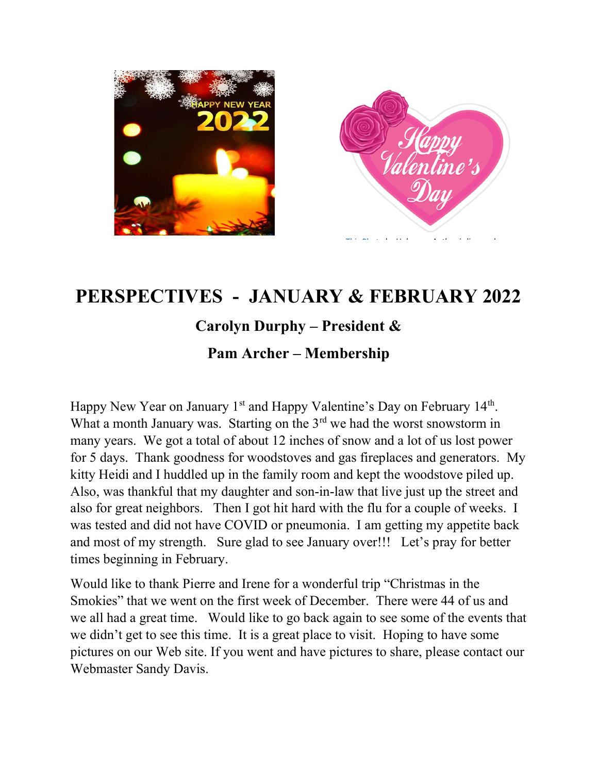

# PERSPECTIVES - JANUARY & FEBRUARY 2022

# Carolyn Durphy – President &

## Pam Archer – Membership

Happy New Year on January  $1<sup>st</sup>$  and Happy Valentine's Day on February  $14<sup>th</sup>$ . What a month January was. Starting on the  $3<sup>rd</sup>$  we had the worst snowstorm in many years. We got a total of about 12 inches of snow and a lot of us lost power for 5 days. Thank goodness for woodstoves and gas fireplaces and generators. My kitty Heidi and I huddled up in the family room and kept the woodstove piled up. Also, was thankful that my daughter and son-in-law that live just up the street and also for great neighbors. Then I got hit hard with the flu for a couple of weeks. I was tested and did not have COVID or pneumonia. I am getting my appetite back and most of my strength. Sure glad to see January over!!! Let's pray for better times beginning in February.

Would like to thank Pierre and Irene for a wonderful trip "Christmas in the Smokies" that we went on the first week of December. There were 44 of us and we all had a great time. Would like to go back again to see some of the events that we didn't get to see this time. It is a great place to visit. Hoping to have some pictures on our Web site. If you went and have pictures to share, please contact our Webmaster Sandy Davis.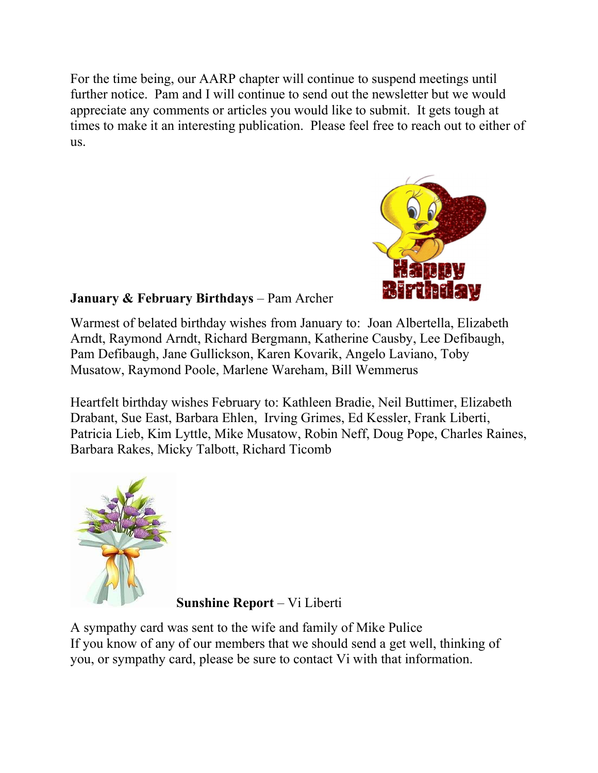For the time being, our AARP chapter will continue to suspend meetings until further notice. Pam and I will continue to send out the newsletter but we would appreciate any comments or articles you would like to submit. It gets tough at times to make it an interesting publication. Please feel free to reach out to either of us.



## January & February Birthdays – Pam Archer

Warmest of belated birthday wishes from January to: Joan Albertella, Elizabeth Arndt, Raymond Arndt, Richard Bergmann, Katherine Causby, Lee Defibaugh, Pam Defibaugh, Jane Gullickson, Karen Kovarik, Angelo Laviano, Toby Musatow, Raymond Poole, Marlene Wareham, Bill Wemmerus

Heartfelt birthday wishes February to: Kathleen Bradie, Neil Buttimer, Elizabeth Drabant, Sue East, Barbara Ehlen, Irving Grimes, Ed Kessler, Frank Liberti, Patricia Lieb, Kim Lyttle, Mike Musatow, Robin Neff, Doug Pope, Charles Raines, Barbara Rakes, Micky Talbott, Richard Ticomb



Sunshine Report – Vi Liberti

A sympathy card was sent to the wife and family of Mike Pulice If you know of any of our members that we should send a get well, thinking of you, or sympathy card, please be sure to contact Vi with that information.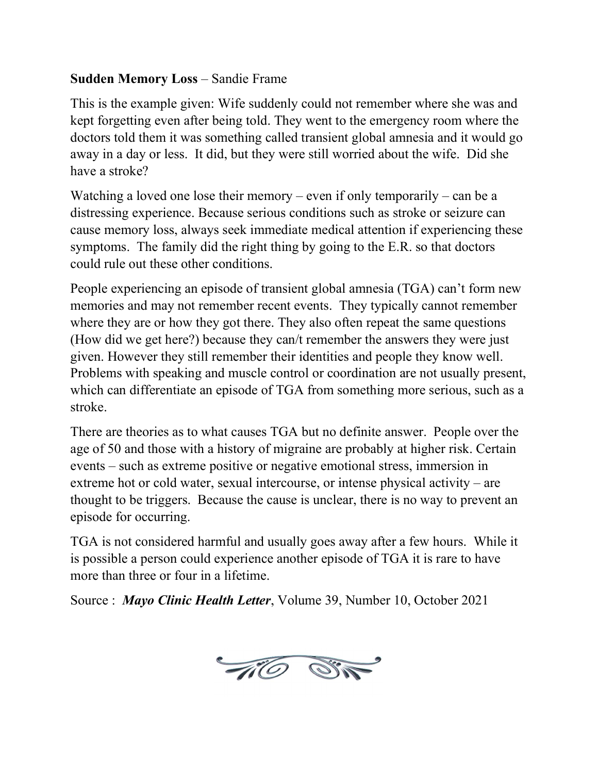### Sudden Memory Loss – Sandie Frame

This is the example given: Wife suddenly could not remember where she was and kept forgetting even after being told. They went to the emergency room where the doctors told them it was something called transient global amnesia and it would go away in a day or less. It did, but they were still worried about the wife. Did she have a stroke?

Watching a loved one lose their memory – even if only temporarily – can be a distressing experience. Because serious conditions such as stroke or seizure can cause memory loss, always seek immediate medical attention if experiencing these symptoms. The family did the right thing by going to the E.R. so that doctors could rule out these other conditions.

People experiencing an episode of transient global amnesia (TGA) can't form new memories and may not remember recent events. They typically cannot remember where they are or how they got there. They also often repeat the same questions (How did we get here?) because they can/t remember the answers they were just given. However they still remember their identities and people they know well. Problems with speaking and muscle control or coordination are not usually present, which can differentiate an episode of TGA from something more serious, such as a stroke.

There are theories as to what causes TGA but no definite answer. People over the age of 50 and those with a history of migraine are probably at higher risk. Certain events – such as extreme positive or negative emotional stress, immersion in extreme hot or cold water, sexual intercourse, or intense physical activity – are thought to be triggers. Because the cause is unclear, there is no way to prevent an episode for occurring.

TGA is not considered harmful and usually goes away after a few hours. While it is possible a person could experience another episode of TGA it is rare to have more than three or four in a lifetime.

Source : Mayo Clinic Health Letter, Volume 39, Number 10, October 2021

TO ST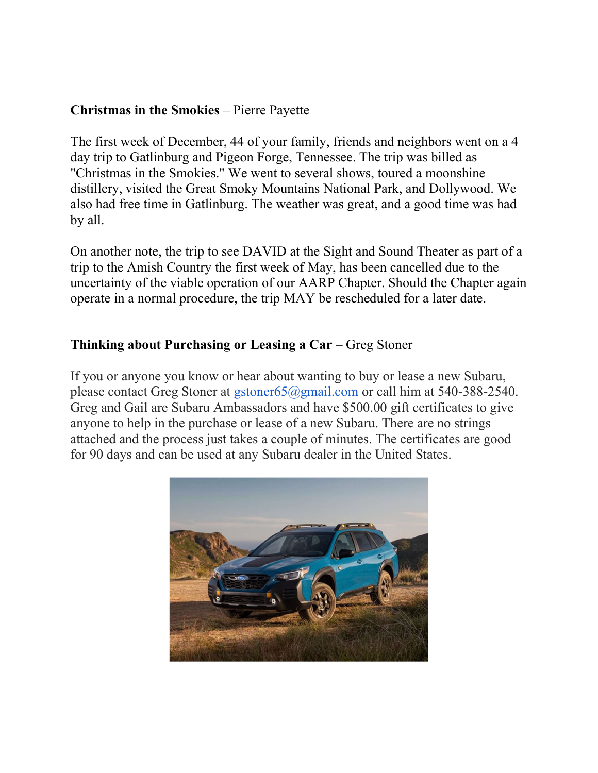#### Christmas in the Smokies – Pierre Payette

The first week of December, 44 of your family, friends and neighbors went on a 4 day trip to Gatlinburg and Pigeon Forge, Tennessee. The trip was billed as "Christmas in the Smokies." We went to several shows, toured a moonshine distillery, visited the Great Smoky Mountains National Park, and Dollywood. We also had free time in Gatlinburg. The weather was great, and a good time was had by all.

On another note, the trip to see DAVID at the Sight and Sound Theater as part of a trip to the Amish Country the first week of May, has been cancelled due to the uncertainty of the viable operation of our AARP Chapter. Should the Chapter again operate in a normal procedure, the trip MAY be rescheduled for a later date.

### Thinking about Purchasing or Leasing a Car – Greg Stoner

If you or anyone you know or hear about wanting to buy or lease a new Subaru, please contact Greg Stoner at gstoner65@gmail.com or call him at 540-388-2540. Greg and Gail are Subaru Ambassadors and have \$500.00 gift certificates to give anyone to help in the purchase or lease of a new Subaru. There are no strings attached and the process just takes a couple of minutes. The certificates are good for 90 days and can be used at any Subaru dealer in the United States.

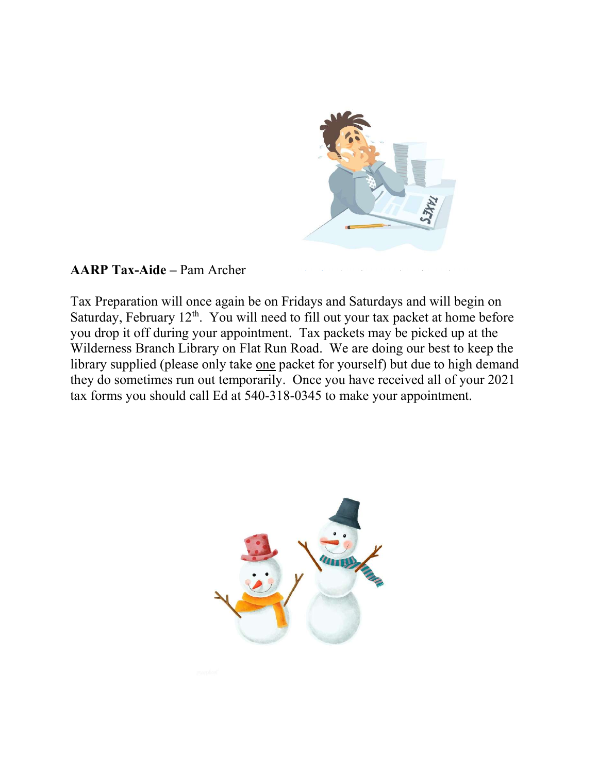

This Photo by Unknown Author is licensed and the United States of the United States and the United States of t<br>This Photo by United States and the United States and the United States and the United States and the United S

## AARP Tax-Aide – Pam Archer

Tax Preparation will once again be on Fridays and Saturdays and will begin on Saturday, February  $12<sup>th</sup>$ . You will need to fill out your tax packet at home before you drop it off during your appointment. Tax packets may be picked up at the Wilderness Branch Library on Flat Run Road. We are doing our best to keep the library supplied (please only take one packet for yourself) but due to high demand they do sometimes run out temporarily. Once you have received all of your 2021 tax forms you should call Ed at 540-318-0345 to make your appointment.